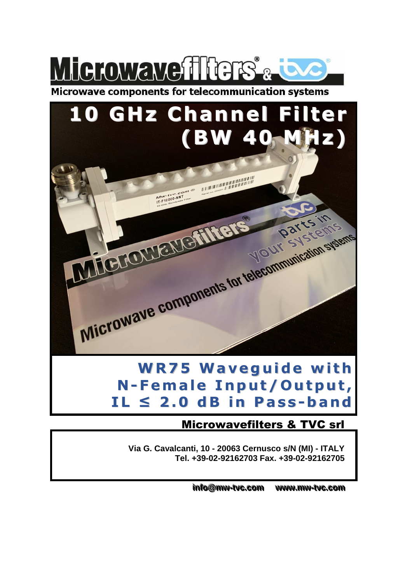

Microwave components for telecommunication systems

# **10 GHz Channel Filter (BW 40 MHz)**

 $\begin{array}{lll}\n\mathcal{M} & \mathcal{M} & \mathcal{M} & \mathcal{M} \\ \hline\n\mathcal{M} & \mathcal{M} & \mathcal{M} & \mathcal{M} \\ \mathcal{M} & \mathcal{M} & \mathcal{M} & \mathcal{M} \\ \mathcal{M} & \mathcal{M} & \mathcal{M} & \mathcal{M} \\ \mathcal{M} & \mathcal{M} & \mathcal{M} & \mathcal{M} \\ \mathcal{M} & \mathcal{M} & \mathcal{M} & \mathcal{M} \\ \mathcal{M} & \mathcal{M} & \mathcal{M} & \mathcal{M} \\ \mathcal{M} & \mathcal{$ 

Microwave components for telecommunication systems

Microuzevements®

**WR7 5 Waveg u ide wi t h N -Female I n p u t/ O u tp u t , IL ≤ 2 . 0 dB i n Pas s -ba n d**

### Microwavefilters & TVC srl

**Parts in** 

**Via G. Cavalcanti, 10 - 20063 Cernusco s/N (MI) - ITALY Tel. +39-02-92162703 Fax. +39-02-92162705** 

> $\frac{1}{2}$  info@mw-tvc.com www. **..mmww--ttvvcc. ..ccoomm**